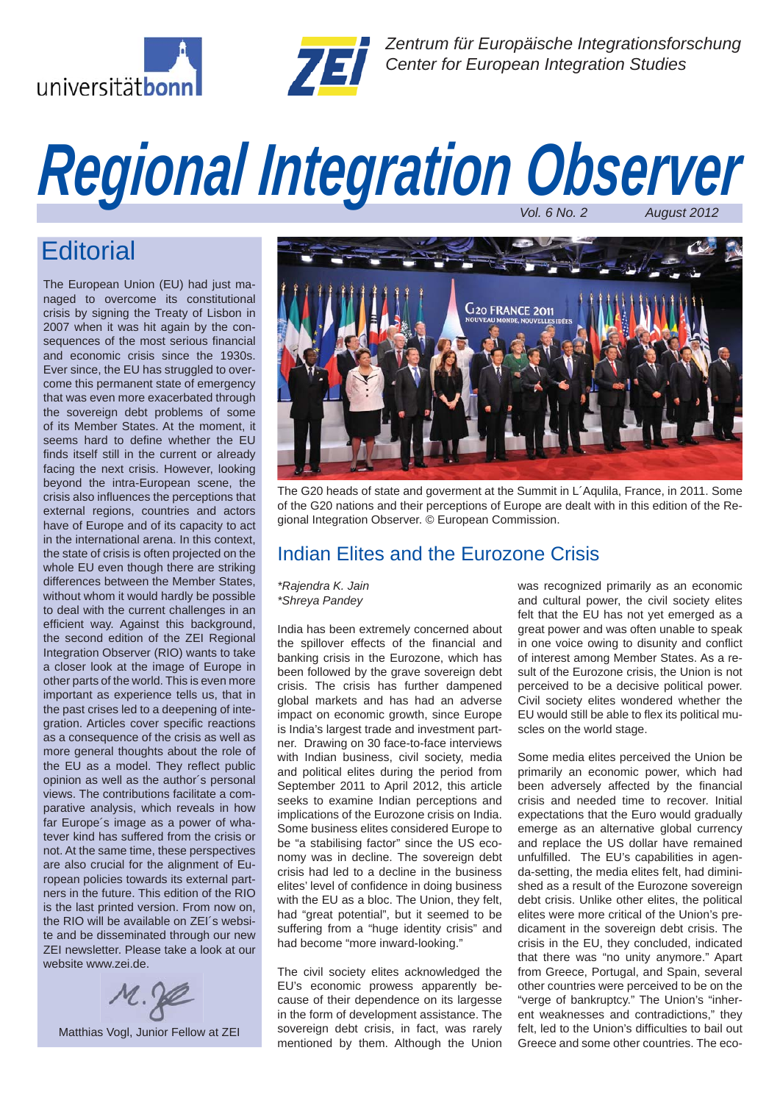



*Zentrum für Europäische Integrationsforschung Center for European Integration Studies*

# *Regional Integration Observer Vol. 6 No. 2* **August 2012**

## **Editorial**

 The European Union (EU) had just managed to overcome its constitutional crisis by signing the Treaty of Lisbon in 2007 when it was hit again by the consequences of the most serious financial and economic crisis since the 1930s. Ever since, the EU has struggled to overcome this permanent state of emergency that was even more exacerbated through the sovereign debt problems of some of its Member States. At the moment, it seems hard to define whether the EU finds itself still in the current or already facing the next crisis. However, looking beyond the intra-European scene, the crisis also influences the perceptions that external regions, countries and actors have of Europe and of its capacity to act in the international arena. In this context, the state of crisis is often projected on the whole EU even though there are striking differences between the Member States, without whom it would hardly be possible to deal with the current challenges in an efficient way. Against this background, the second edition of the ZEI Regional Integration Observer (RIO) wants to take a closer look at the image of Europe in other parts of the world. This is even more important as experience tells us, that in the past crises led to a deepening of integration. Articles cover specific reactions as a consequence of the crisis as well as more general thoughts about the role of the EU as a model. They reflect public opinion as well as the author´s personal views. The contributions facilitate a comparative analysis, which reveals in how far Europe´s image as a power of whatever kind has suffered from the crisis or not. At the same time, these perspectives are also crucial for the alignment of European policies towards its external partners in the future. This edition of the RIO is the last printed version. From now on, the RIO will be available on ZEI´s website and be disseminated through our new ZEI newsletter. Please take a look at our website www.zei.de.





The G20 heads of state and goverment at the Summit in L´Aqulila, France, in 2011. Some of the G20 nations and their perceptions of Europe are dealt with in this edition of the Regional Integration Observer. © European Commission.

### Indian Elites and the Eurozone Crisis

*\*Rajendra K. Jain \*Shreya Pandey*

India has been extremely concerned about the spillover effects of the financial and banking crisis in the Eurozone, which has been followed by the grave sovereign debt crisis. The crisis has further dampened global markets and has had an adverse impact on economic growth, since Europe is India's largest trade and investment partner. Drawing on 30 face-to-face interviews with Indian business, civil society, media and political elites during the period from September 2011 to April 2012, this article seeks to examine Indian perceptions and implications of the Eurozone crisis on India. Some business elites considered Europe to be "a stabilising factor" since the US economy was in decline. The sovereign debt crisis had led to a decline in the business elites' level of confidence in doing business with the EU as a bloc. The Union, they felt, had "great potential", but it seemed to be suffering from a "huge identity crisis" and had become "more inward-looking."

The civil society elites acknowledged the EU's economic prowess apparently because of their dependence on its largesse in the form of development assistance. The sovereign debt crisis, in fact, was rarely mentioned by them. Although the Union was recognized primarily as an economic and cultural power, the civil society elites felt that the EU has not yet emerged as a great power and was often unable to speak in one voice owing to disunity and conflict of interest among Member States. As a result of the Eurozone crisis, the Union is not perceived to be a decisive political power. Civil society elites wondered whether the EU would still be able to flex its political muscles on the world stage.

Some media elites perceived the Union be primarily an economic power, which had been adversely affected by the financial crisis and needed time to recover. Initial expectations that the Euro would gradually emerge as an alternative global currency and replace the US dollar have remained unfulfilled. The EU's capabilities in agenda-setting, the media elites felt, had diminished as a result of the Eurozone sovereign debt crisis. Unlike other elites, the political elites were more critical of the Union's predicament in the sovereign debt crisis. The crisis in the EU, they concluded, indicated that there was "no unity anymore." Apart from Greece, Portugal, and Spain, several other countries were perceived to be on the "verge of bankruptcy." The Union's "inherent weaknesses and contradictions," they felt, led to the Union's difficulties to bail out Greece and some other countries. The eco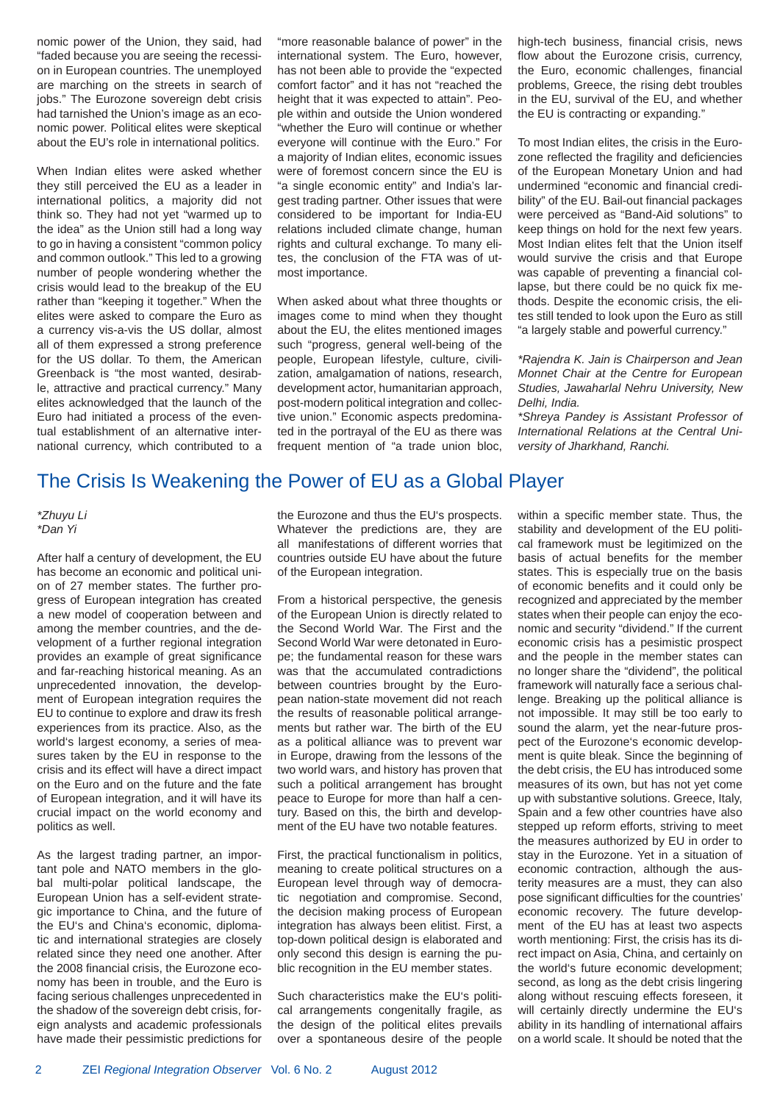nomic power of the Union, they said, had "faded because you are seeing the recession in European countries. The unemployed are marching on the streets in search of iobs." The Eurozone sovereign debt crisis had tarnished the Union's image as an economic power. Political elites were skeptical about the EU's role in international politics.

When Indian elites were asked whether they still perceived the EU as a leader in international politics, a majority did not think so. They had not yet "warmed up to the idea" as the Union still had a long way to go in having a consistent "common policy and common outlook." This led to a growing number of people wondering whether the crisis would lead to the breakup of the EU rather than "keeping it together." When the elites were asked to compare the Euro as a currency vis-a-vis the US dollar, almost all of them expressed a strong preference for the US dollar. To them, the American Greenback is "the most wanted, desirable, attractive and practical currency." Many elites acknowledged that the launch of the Euro had initiated a process of the eventual establishment of an alternative international currency, which contributed to a "more reasonable balance of power" in the international system. The Euro, however, has not been able to provide the "expected comfort factor" and it has not "reached the height that it was expected to attain". People within and outside the Union wondered "whether the Euro will continue or whether everyone will continue with the Euro." For a majority of Indian elites, economic issues were of foremost concern since the EU is "a single economic entity" and India's largest trading partner. Other issues that were considered to be important for India-EU relations included climate change, human rights and cultural exchange. To many elites, the conclusion of the FTA was of utmost importance.

When asked about what three thoughts or images come to mind when they thought about the EU, the elites mentioned images such "progress, general well-being of the people, European lifestyle, culture, civilization, amalgamation of nations, research, development actor, humanitarian approach, post-modern political integration and collective union." Economic aspects predominated in the portrayal of the EU as there was frequent mention of "a trade union bloc, high-tech business, financial crisis, news flow about the Eurozone crisis, currency, the Euro, economic challenges, financial problems, Greece, the rising debt troubles in the EU, survival of the EU, and whether the EU is contracting or expanding."

To most Indian elites, the crisis in the Eurozone reflected the fragility and deficiencies of the European Monetary Union and had undermined "economic and financial credibility" of the EU. Bail-out financial packages were perceived as "Band-Aid solutions" to keep things on hold for the next few years. Most Indian elites felt that the Union itself would survive the crisis and that Europe was capable of preventing a financial collapse, but there could be no quick fix methods. Despite the economic crisis, the elites still tended to look upon the Euro as still "a largely stable and powerful currency."

*\*Rajendra K. Jain is Chairperson and Jean Monnet Chair at the Centre for European Studies, Jawaharlal Nehru University, New Delhi, India.*

*\*Shreya Pandey is Assistant Professor of International Relations at the Central University of Jharkhand, Ranchi.*

### The Crisis Is Weakening the Power of EU as a Global Player

*\*Zhuyu Li \*Dan Yi*

After half a century of development, the EU has become an economic and political union of 27 member states. The further progress of European integration has created a new model of cooperation between and among the member countries, and the development of a further regional integration provides an example of great significance and far-reaching historical meaning. As an unprecedented innovation, the development of European integration requires the EU to continue to explore and draw its fresh experiences from its practice. Also, as the world's largest economy, a series of measures taken by the EU in response to the crisis and its effect will have a direct impact on the Euro and on the future and the fate of European integration, and it will have its crucial impact on the world economy and politics as well.

As the largest trading partner, an important pole and NATO members in the global multi-polar political landscape, the European Union has a self-evident strategic importance to China, and the future of the EU's and China's economic, diplomatic and international strategies are closely related since they need one another. After the 2008 financial crisis, the Eurozone economy has been in trouble, and the Euro is facing serious challenges unprecedented in the shadow of the sovereign debt crisis, foreign analysts and academic professionals have made their pessimistic predictions for the Eurozone and thus the EU's prospects. Whatever the predictions are, they are all manifestations of different worries that countries outside EU have about the future of the European integration.

From a historical perspective, the genesis of the European Union is directly related to the Second World War. The First and the Second World War were detonated in Europe; the fundamental reason for these wars was that the accumulated contradictions between countries brought by the European nation-state movement did not reach the results of reasonable political arrangements but rather war. The birth of the EU as a political alliance was to prevent war in Europe, drawing from the lessons of the two world wars, and history has proven that such a political arrangement has brought peace to Europe for more than half a century. Based on this, the birth and development of the EU have two notable features.

First, the practical functionalism in politics, meaning to create political structures on a European level through way of democratic negotiation and compromise. Second, the decision making process of European integration has always been elitist. First, a top-down political design is elaborated and only second this design is earning the public recognition in the EU member states.

Such characteristics make the EU's political arrangements congenitally fragile, as the design of the political elites prevails over a spontaneous desire of the people within a specific member state. Thus, the stability and development of the EU political framework must be legitimized on the basis of actual benefits for the member states. This is especially true on the basis of economic benefits and it could only be recognized and appreciated by the member states when their people can enjoy the economic and security "dividend." If the current economic crisis has a pesimistic prospect and the people in the member states can no longer share the "dividend", the political framework will naturally face a serious challenge. Breaking up the political alliance is not impossible. It may still be too early to sound the alarm, yet the near-future prospect of the Eurozone's economic development is quite bleak. Since the beginning of the debt crisis, the EU has introduced some measures of its own, but has not yet come up with substantive solutions. Greece, Italy, Spain and a few other countries have also stepped up reform efforts, striving to meet the measures authorized by EU in order to stay in the Eurozone. Yet in a situation of economic contraction, although the austerity measures are a must, they can also pose significant difficulties for the countries' economic recovery. The future development of the EU has at least two aspects worth mentioning: First, the crisis has its direct impact on Asia, China, and certainly on the world's future economic development; second, as long as the debt crisis lingering along without rescuing effects foreseen, it will certainly directly undermine the EU's ability in its handling of international affairs on a world scale. It should be noted that the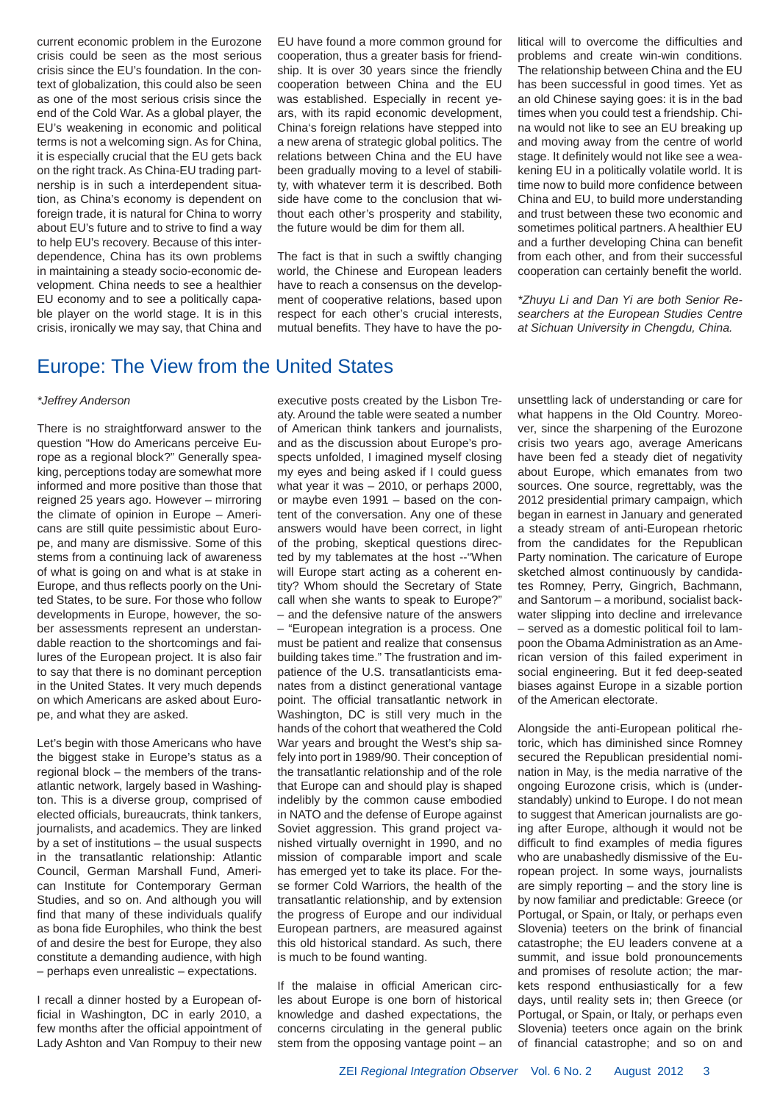current economic problem in the Eurozone crisis could be seen as the most serious crisis since the EU's foundation. In the context of globalization, this could also be seen as one of the most serious crisis since the end of the Cold War. As a global player, the EU's weakening in economic and political terms is not a welcoming sign. As for China, it is especially crucial that the EU gets back on the right track. As China-EU trading partnership is in such a interdependent situation, as China's economy is dependent on foreign trade, it is natural for China to worry about EU's future and to strive to find a way to help EU's recovery. Because of this interdependence, China has its own problems in maintaining a steady socio-economic development. China needs to see a healthier EU economy and to see a politically capable player on the world stage. It is in this crisis, ironically we may say, that China and

### Europe: The View from the United States

#### *\*Jeffrey Anderson*

There is no straightforward answer to the question "How do Americans perceive Europe as a regional block?" Generally speaking, perceptions today are somewhat more informed and more positive than those that reigned 25 years ago. However – mirroring the climate of opinion in Europe – Americans are still quite pessimistic about Europe, and many are dismissive. Some of this stems from a continuing lack of awareness of what is going on and what is at stake in Europe, and thus reflects poorly on the United States, to be sure. For those who follow developments in Europe, however, the sober assessments represent an understandable reaction to the shortcomings and failures of the European project. It is also fair to say that there is no dominant perception in the United States. It very much depends on which Americans are asked about Europe, and what they are asked.

Let's begin with those Americans who have the biggest stake in Europe's status as a regional block – the members of the transatlantic network, largely based in Washington. This is a diverse group, comprised of elected officials, bureaucrats, think tankers, journalists, and academics. They are linked by a set of institutions – the usual suspects in the transatlantic relationship: Atlantic Council, German Marshall Fund, American Institute for Contemporary German Studies, and so on. And although you will find that many of these individuals qualify as bona fide Europhiles, who think the best of and desire the best for Europe, they also constitute a demanding audience, with high – perhaps even unrealistic – expectations.

I recall a dinner hosted by a European official in Washington, DC in early 2010, a few months after the official appointment of Lady Ashton and Van Rompuy to their new EU have found a more common ground for cooperation, thus a greater basis for friendship. It is over 30 years since the friendly cooperation between China and the EU was established. Especially in recent years, with its rapid economic development, China's foreign relations have stepped into a new arena of strategic global politics. The relations between China and the EU have been gradually moving to a level of stability, with whatever term it is described. Both side have come to the conclusion that without each other's prosperity and stability, the future would be dim for them all.

The fact is that in such a swiftly changing world, the Chinese and European leaders have to reach a consensus on the development of cooperative relations, based upon respect for each other's crucial interests, mutual benefits. They have to have the po-

executive posts created by the Lisbon Treaty. Around the table were seated a number of American think tankers and journalists, and as the discussion about Europe's prospects unfolded, I imagined myself closing my eyes and being asked if I could guess what year it was – 2010, or perhaps 2000, or maybe even 1991 – based on the content of the conversation. Any one of these answers would have been correct, in light of the probing, skeptical questions directed by my tablemates at the host --"When will Europe start acting as a coherent entity? Whom should the Secretary of State call when she wants to speak to Europe?" – and the defensive nature of the answers – "European integration is a process. One must be patient and realize that consensus building takes time." The frustration and impatience of the U.S. transatlanticists emanates from a distinct generational vantage point. The official transatlantic network in Washington, DC is still very much in the hands of the cohort that weathered the Cold War years and brought the West's ship safely into port in 1989/90. Their conception of the transatlantic relationship and of the role that Europe can and should play is shaped indelibly by the common cause embodied in NATO and the defense of Europe against Soviet aggression. This grand project vanished virtually overnight in 1990, and no mission of comparable import and scale has emerged yet to take its place. For these former Cold Warriors, the health of the transatlantic relationship, and by extension the progress of Europe and our individual European partners, are measured against this old historical standard. As such, there is much to be found wanting.

If the malaise in official American circles about Europe is one born of historical knowledge and dashed expectations, the concerns circulating in the general public stem from the opposing vantage point – an litical will to overcome the difficulties and problems and create win-win conditions. The relationship between China and the EU has been successful in good times. Yet as an old Chinese saying goes: it is in the bad times when you could test a friendship. China would not like to see an EU breaking up and moving away from the centre of world stage. It definitely would not like see a weakening EU in a politically volatile world. It is time now to build more confidence between China and EU, to build more understanding and trust between these two economic and sometimes political partners. A healthier EU and a further developing China can benefit from each other, and from their successful cooperation can certainly benefit the world.

*\*Zhuyu Li and Dan Yi are both Senior Researchers at the European Studies Centre at Sichuan University in Chengdu, China.*

unsettling lack of understanding or care for what happens in the Old Country. Moreover, since the sharpening of the Eurozone crisis two years ago, average Americans have been fed a steady diet of negativity about Europe, which emanates from two sources. One source, regrettably, was the 2012 presidential primary campaign, which began in earnest in January and generated a steady stream of anti-European rhetoric from the candidates for the Republican Party nomination. The caricature of Europe sketched almost continuously by candidates Romney, Perry, Gingrich, Bachmann, and Santorum – a moribund, socialist backwater slipping into decline and irrelevance – served as a domestic political foil to lampoon the Obama Administration as an American version of this failed experiment in social engineering. But it fed deep-seated biases against Europe in a sizable portion of the American electorate.

Alongside the anti-European political rhetoric, which has diminished since Romney secured the Republican presidential nomination in May, is the media narrative of the ongoing Eurozone crisis, which is (understandably) unkind to Europe. I do not mean to suggest that American journalists are going after Europe, although it would not be difficult to find examples of media figures who are unabashedly dismissive of the European project. In some ways, journalists are simply reporting – and the story line is by now familiar and predictable: Greece (or Portugal, or Spain, or Italy, or perhaps even Slovenia) teeters on the brink of financial catastrophe; the EU leaders convene at a summit, and issue bold pronouncements and promises of resolute action; the markets respond enthusiastically for a few days, until reality sets in; then Greece (or Portugal, or Spain, or Italy, or perhaps even Slovenia) teeters once again on the brink of financial catastrophe; and so on and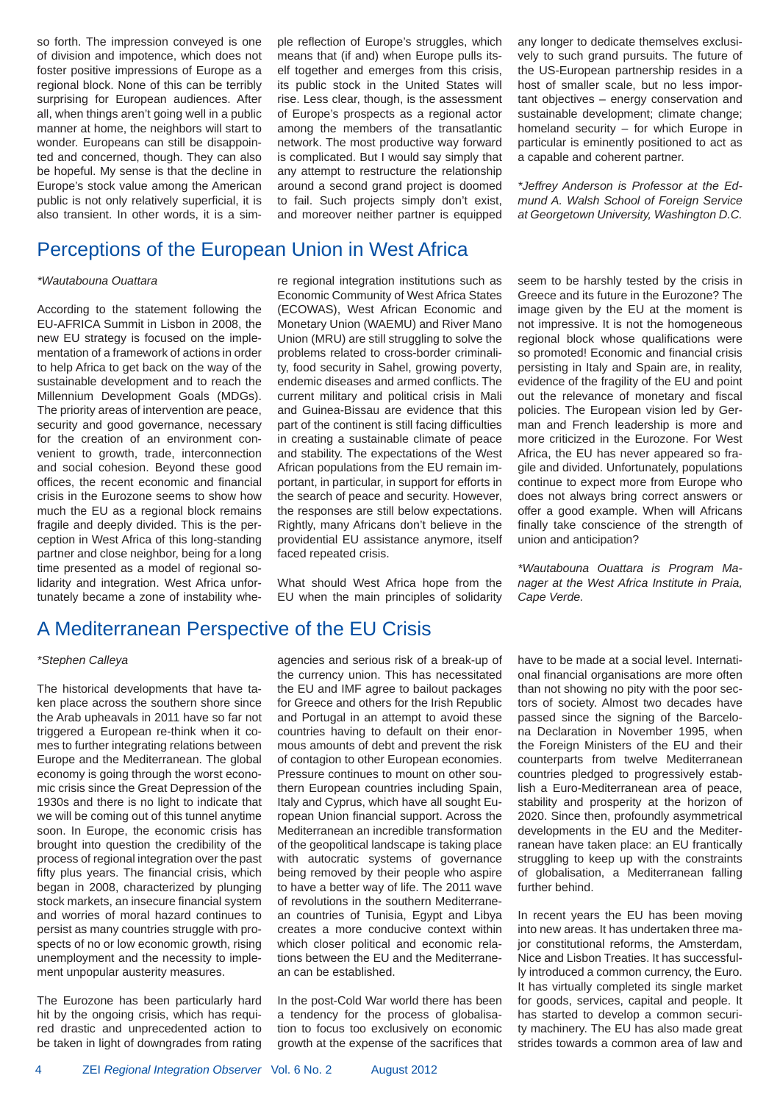so forth. The impression conveyed is one of division and impotence, which does not foster positive impressions of Europe as a regional block. None of this can be terribly surprising for European audiences. After all, when things aren't going well in a public manner at home, the neighbors will start to wonder. Europeans can still be disappointed and concerned, though. They can also be hopeful. My sense is that the decline in Europe's stock value among the American public is not only relatively superficial, it is also transient. In other words, it is a simple reflection of Europe's struggles, which means that (if and) when Europe pulls itself together and emerges from this crisis, its public stock in the United States will rise. Less clear, though, is the assessment of Europe's prospects as a regional actor among the members of the transatlantic network. The most productive way forward is complicated. But I would say simply that any attempt to restructure the relationship around a second grand project is doomed to fail. Such projects simply don't exist, and moreover neither partner is equipped

any longer to dedicate themselves exclusively to such grand pursuits. The future of the US-European partnership resides in a host of smaller scale, but no less important objectives – energy conservation and sustainable development; climate change; homeland security – for which Europe in particular is eminently positioned to act as a capable and coherent partner.

*\*Jeffrey Anderson is Professor at the Edmund A. Walsh School of Foreign Service at Georgetown University, Washington D.C.*

### Perceptions of the European Union in West Africa

#### *\*Wautabouna Ouattara*

According to the statement following the EU-AFRICA Summit in Lisbon in 2008, the new EU strategy is focused on the implementation of a framework of actions in order to help Africa to get back on the way of the sustainable development and to reach the Millennium Development Goals (MDGs). The priority areas of intervention are peace, security and good governance, necessary for the creation of an environment convenient to growth, trade, interconnection and social cohesion. Beyond these good offices, the recent economic and financial crisis in the Eurozone seems to show how much the EU as a regional block remains fragile and deeply divided. This is the perception in West Africa of this long-standing partner and close neighbor, being for a long time presented as a model of regional solidarity and integration. West Africa unfortunately became a zone of instability where regional integration institutions such as Economic Community of West Africa States (ECOWAS), West African Economic and Monetary Union (WAEMU) and River Mano Union (MRU) are still struggling to solve the problems related to cross-border criminality, food security in Sahel, growing poverty, endemic diseases and armed conflicts. The current military and political crisis in Mali and Guinea-Bissau are evidence that this part of the continent is still facing difficulties in creating a sustainable climate of peace and stability. The expectations of the West African populations from the EU remain important, in particular, in support for efforts in the search of peace and security. However, the responses are still below expectations. Rightly, many Africans don't believe in the providential EU assistance anymore, itself faced repeated crisis.

What should West Africa hope from the EU when the main principles of solidarity seem to be harshly tested by the crisis in Greece and its future in the Eurozone? The image given by the EU at the moment is not impressive. It is not the homogeneous regional block whose qualifications were so promoted! Economic and financial crisis persisting in Italy and Spain are, in reality, evidence of the fragility of the EU and point out the relevance of monetary and fiscal policies. The European vision led by German and French leadership is more and more criticized in the Eurozone. For West Africa, the EU has never appeared so fragile and divided. Unfortunately, populations continue to expect more from Europe who does not always bring correct answers or offer a good example. When will Africans finally take conscience of the strength of union and anticipation?

*\*Wautabouna Ouattara is Program Manager at the West Africa Institute in Praia, Cape Verde.*

### A Mediterranean Perspective of the EU Crisis

#### *\*Stephen Calleya*

The historical developments that have taken place across the southern shore since the Arab upheavals in 2011 have so far not triggered a European re-think when it comes to further integrating relations between Europe and the Mediterranean. The global economy is going through the worst economic crisis since the Great Depression of the 1930s and there is no light to indicate that we will be coming out of this tunnel anytime soon. In Europe, the economic crisis has brought into question the credibility of the process of regional integration over the past fifty plus years. The financial crisis, which began in 2008, characterized by plunging stock markets, an insecure financial system and worries of moral hazard continues to persist as many countries struggle with prospects of no or low economic growth, rising unemployment and the necessity to implement unpopular austerity measures.

The Eurozone has been particularly hard hit by the ongoing crisis, which has required drastic and unprecedented action to be taken in light of downgrades from rating

agencies and serious risk of a break-up of the currency union. This has necessitated the EU and IMF agree to bailout packages for Greece and others for the Irish Republic and Portugal in an attempt to avoid these countries having to default on their enormous amounts of debt and prevent the risk of contagion to other European economies. Pressure continues to mount on other southern European countries including Spain, Italy and Cyprus, which have all sought European Union financial support. Across the Mediterranean an incredible transformation of the geopolitical landscape is taking place with autocratic systems of governance being removed by their people who aspire to have a better way of life. The 2011 wave of revolutions in the southern Mediterranean countries of Tunisia, Egypt and Libya creates a more conducive context within which closer political and economic relations between the EU and the Mediterranean can be established.

In the post-Cold War world there has been a tendency for the process of globalisation to focus too exclusively on economic growth at the expense of the sacrifices that have to be made at a social level. International financial organisations are more often than not showing no pity with the poor sectors of society. Almost two decades have passed since the signing of the Barcelona Declaration in November 1995, when the Foreign Ministers of the EU and their counterparts from twelve Mediterranean countries pledged to progressively establish a Euro-Mediterranean area of peace, stability and prosperity at the horizon of 2020. Since then, profoundly asymmetrical developments in the EU and the Mediterranean have taken place: an EU frantically struggling to keep up with the constraints of globalisation, a Mediterranean falling further behind.

In recent years the EU has been moving into new areas. It has undertaken three major constitutional reforms, the Amsterdam, Nice and Lisbon Treaties. It has successfully introduced a common currency, the Euro. It has virtually completed its single market for goods, services, capital and people. It has started to develop a common security machinery. The EU has also made great strides towards a common area of law and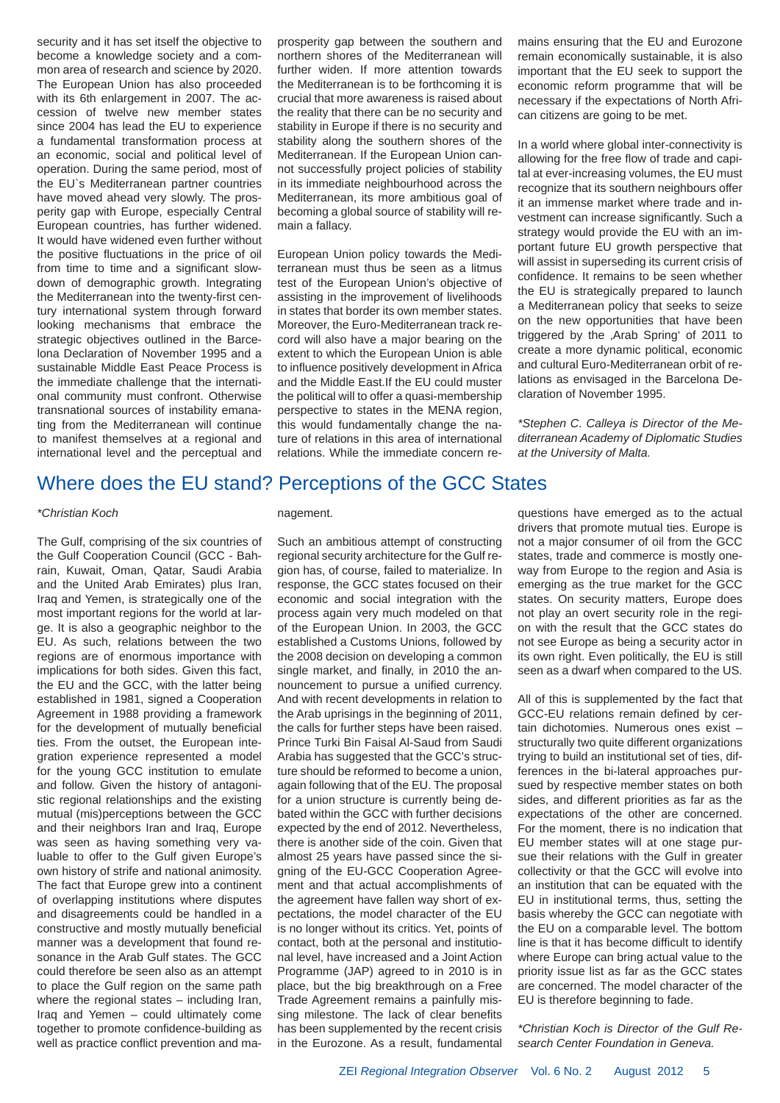security and it has set itself the objective to become a knowledge society and a common area of research and science by 2020. The European Union has also proceeded with its 6th enlargement in 2007. The accession of twelve new member states since 2004 has lead the EU to experience a fundamental transformation process at an economic, social and political level of operation. During the same period, most of the EU`s Mediterranean partner countries have moved ahead very slowly. The prosperity gap with Europe, especially Central European countries, has further widened. It would have widened even further without the positive fluctuations in the price of oil from time to time and a significant slowdown of demographic growth. Integrating the Mediterranean into the twenty-first century international system through forward looking mechanisms that embrace the strategic objectives outlined in the Barcelona Declaration of November 1995 and a sustainable Middle East Peace Process is the immediate challenge that the international community must confront. Otherwise transnational sources of instability emanating from the Mediterranean will continue to manifest themselves at a regional and international level and the perceptual and prosperity gap between the southern and northern shores of the Mediterranean will further widen. If more attention towards the Mediterranean is to be forthcoming it is crucial that more awareness is raised about the reality that there can be no security and stability in Europe if there is no security and stability along the southern shores of the Mediterranean. If the European Union cannot successfully project policies of stability in its immediate neighbourhood across the Mediterranean, its more ambitious goal of becoming a global source of stability will remain a fallacy.

European Union policy towards the Mediterranean must thus be seen as a litmus test of the European Union's objective of assisting in the improvement of livelihoods in states that border its own member states. Moreover, the Euro-Mediterranean track record will also have a major bearing on the extent to which the European Union is able to influence positively development in Africa and the Middle East.If the EU could muster the political will to offer a quasi-membership perspective to states in the MENA region, this would fundamentally change the nature of relations in this area of international relations. While the immediate concern remains ensuring that the EU and Eurozone remain economically sustainable, it is also important that the EU seek to support the economic reform programme that will be necessary if the expectations of North African citizens are going to be met.

In a world where global inter-connectivity is allowing for the free flow of trade and capital at ever-increasing volumes, the EU must recognize that its southern neighbours offer it an immense market where trade and investment can increase significantly. Such a strategy would provide the EU with an important future EU growth perspective that will assist in superseding its current crisis of confidence. It remains to be seen whether the EU is strategically prepared to launch a Mediterranean policy that seeks to seize on the new opportunities that have been triggered by the ,Arab Spring' of 2011 to create a more dynamic political, economic and cultural Euro-Mediterranean orbit of relations as envisaged in the Barcelona Declaration of November 1995.

*\*Stephen C. Calleya is Director of the Mediterranean Academy of Diplomatic Studies at the University of Malta.* 

### Where does the EU stand? Perceptions of the GCC States

#### *\*Christian Koch*

The Gulf, comprising of the six countries of the Gulf Cooperation Council (GCC - Bahrain, Kuwait, Oman, Qatar, Saudi Arabia and the United Arab Emirates) plus Iran, Iraq and Yemen, is strategically one of the most important regions for the world at large. It is also a geographic neighbor to the EU. As such, relations between the two regions are of enormous importance with implications for both sides. Given this fact, the EU and the GCC, with the latter being established in 1981, signed a Cooperation Agreement in 1988 providing a framework for the development of mutually beneficial ties. From the outset, the European integration experience represented a model for the young GCC institution to emulate and follow. Given the history of antagonistic regional relationships and the existing mutual (mis)perceptions between the GCC and their neighbors Iran and Iraq, Europe was seen as having something very valuable to offer to the Gulf given Europe's own history of strife and national animosity. The fact that Europe grew into a continent of overlapping institutions where disputes and disagreements could be handled in a constructive and mostly mutually beneficial manner was a development that found resonance in the Arab Gulf states. The GCC could therefore be seen also as an attempt to place the Gulf region on the same path where the regional states – including Iran, Iraq and Yemen – could ultimately come together to promote confidence-building as well as practice conflict prevention and ma-

#### nagement.

Such an ambitious attempt of constructing regional security architecture for the Gulf region has, of course, failed to materialize. In response, the GCC states focused on their economic and social integration with the process again very much modeled on that of the European Union. In 2003, the GCC established a Customs Unions, followed by the 2008 decision on developing a common single market, and finally, in 2010 the announcement to pursue a unified currency. And with recent developments in relation to the Arab uprisings in the beginning of 2011, the calls for further steps have been raised. Prince Turki Bin Faisal Al-Saud from Saudi Arabia has suggested that the GCC's structure should be reformed to become a union, again following that of the EU. The proposal for a union structure is currently being debated within the GCC with further decisions expected by the end of 2012. Nevertheless, there is another side of the coin. Given that almost 25 years have passed since the signing of the EU-GCC Cooperation Agreement and that actual accomplishments of the agreement have fallen way short of expectations, the model character of the EU is no longer without its critics. Yet, points of contact, both at the personal and institutional level, have increased and a Joint Action Programme (JAP) agreed to in 2010 is in place, but the big breakthrough on a Free Trade Agreement remains a painfully missing milestone. The lack of clear benefits has been supplemented by the recent crisis in the Eurozone. As a result, fundamental

questions have emerged as to the actual drivers that promote mutual ties. Europe is not a major consumer of oil from the GCC states, trade and commerce is mostly oneway from Europe to the region and Asia is emerging as the true market for the GCC states. On security matters, Europe does not play an overt security role in the region with the result that the GCC states do not see Europe as being a security actor in its own right. Even politically, the EU is still seen as a dwarf when compared to the US.

All of this is supplemented by the fact that GCC-EU relations remain defined by certain dichotomies. Numerous ones exist – structurally two quite different organizations trying to build an institutional set of ties, differences in the bi-lateral approaches pursued by respective member states on both sides, and different priorities as far as the expectations of the other are concerned. For the moment, there is no indication that EU member states will at one stage pursue their relations with the Gulf in greater collectivity or that the GCC will evolve into an institution that can be equated with the EU in institutional terms, thus, setting the basis whereby the GCC can negotiate with the EU on a comparable level. The bottom line is that it has become difficult to identify where Europe can bring actual value to the priority issue list as far as the GCC states are concerned. The model character of the EU is therefore beginning to fade.

*\*Christian Koch is Director of the Gulf Research Center Foundation in Geneva.*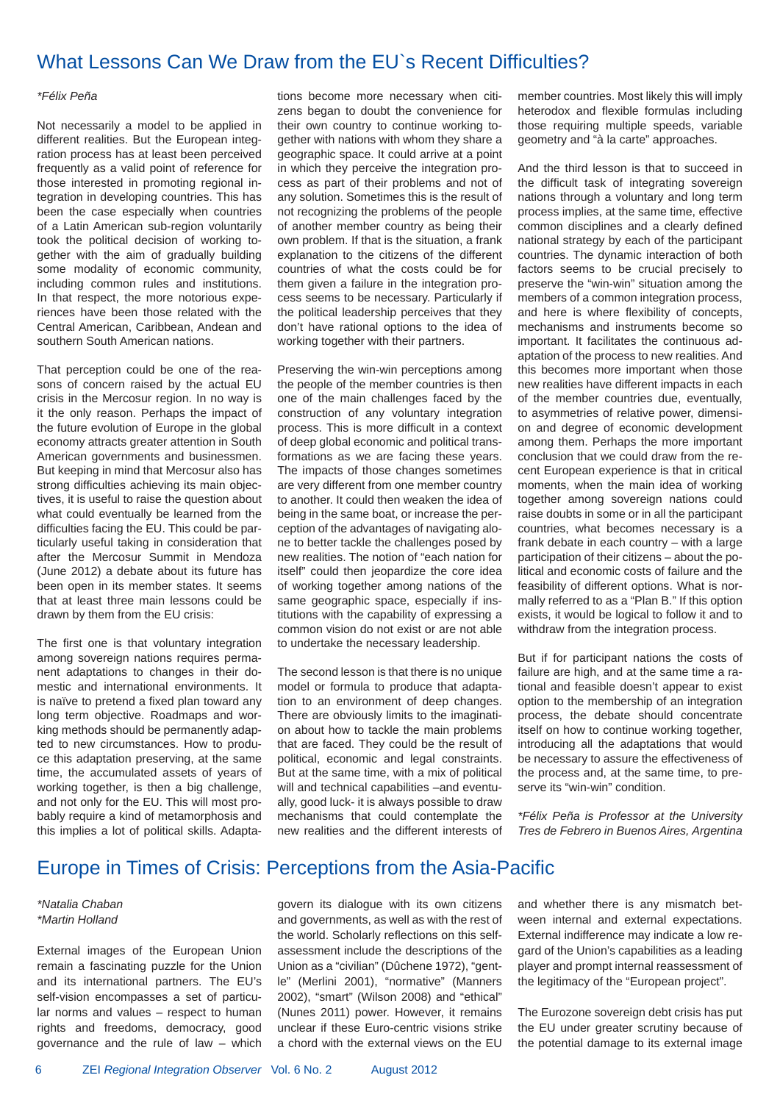### What Lessons Can We Draw from the EU's Recent Difficulties?

#### *\*Félix Peña*

Not necessarily a model to be applied in different realities. But the European integration process has at least been perceived frequently as a valid point of reference for those interested in promoting regional integration in developing countries. This has been the case especially when countries of a Latin American sub-region voluntarily took the political decision of working together with the aim of gradually building some modality of economic community, including common rules and institutions. In that respect, the more notorious experiences have been those related with the Central American, Caribbean, Andean and southern South American nations.

That perception could be one of the reasons of concern raised by the actual EU crisis in the Mercosur region. In no way is it the only reason. Perhaps the impact of the future evolution of Europe in the global economy attracts greater attention in South American governments and businessmen. But keeping in mind that Mercosur also has strong difficulties achieving its main objectives, it is useful to raise the question about what could eventually be learned from the difficulties facing the EU. This could be particularly useful taking in consideration that after the Mercosur Summit in Mendoza (June 2012) a debate about its future has been open in its member states. It seems that at least three main lessons could be drawn by them from the EU crisis:

The first one is that voluntary integration among sovereign nations requires permanent adaptations to changes in their domestic and international environments. It is naïve to pretend a fixed plan toward any long term objective. Roadmaps and working methods should be permanently adapted to new circumstances. How to produce this adaptation preserving, at the same time, the accumulated assets of years of working together, is then a big challenge. and not only for the EU. This will most probably require a kind of metamorphosis and this implies a lot of political skills. Adaptations become more necessary when citizens began to doubt the convenience for their own country to continue working together with nations with whom they share a geographic space. It could arrive at a point in which they perceive the integration process as part of their problems and not of any solution. Sometimes this is the result of not recognizing the problems of the people of another member country as being their own problem. If that is the situation, a frank explanation to the citizens of the different countries of what the costs could be for them given a failure in the integration process seems to be necessary. Particularly if the political leadership perceives that they don't have rational options to the idea of working together with their partners.

Preserving the win-win perceptions among the people of the member countries is then one of the main challenges faced by the construction of any voluntary integration process. This is more difficult in a context of deep global economic and political transformations as we are facing these years. The impacts of those changes sometimes are very different from one member country to another. It could then weaken the idea of being in the same boat, or increase the perception of the advantages of navigating alone to better tackle the challenges posed by new realities. The notion of "each nation for itself" could then jeopardize the core idea of working together among nations of the same geographic space, especially if institutions with the capability of expressing a common vision do not exist or are not able to undertake the necessary leadership.

The second lesson is that there is no unique model or formula to produce that adaptation to an environment of deep changes. There are obviously limits to the imagination about how to tackle the main problems that are faced. They could be the result of political, economic and legal constraints. But at the same time, with a mix of political will and technical capabilities –and eventually, good luck- it is always possible to draw mechanisms that could contemplate the new realities and the different interests of member countries. Most likely this will imply heterodox and flexible formulas including those requiring multiple speeds, variable geometry and "à la carte" approaches.

And the third lesson is that to succeed in the difficult task of integrating sovereign nations through a voluntary and long term process implies, at the same time, effective common disciplines and a clearly defined national strategy by each of the participant countries. The dynamic interaction of both factors seems to be crucial precisely to preserve the "win-win" situation among the members of a common integration process, and here is where flexibility of concepts. mechanisms and instruments become so important. It facilitates the continuous adaptation of the process to new realities. And this becomes more important when those new realities have different impacts in each of the member countries due, eventually, to asymmetries of relative power, dimension and degree of economic development among them. Perhaps the more important conclusion that we could draw from the recent European experience is that in critical moments, when the main idea of working together among sovereign nations could raise doubts in some or in all the participant countries, what becomes necessary is a frank debate in each country – with a large participation of their citizens – about the political and economic costs of failure and the feasibility of different options. What is normally referred to as a "Plan B." If this option exists, it would be logical to follow it and to withdraw from the integration process.

But if for participant nations the costs of failure are high, and at the same time a rational and feasible doesn't appear to exist option to the membership of an integration process, the debate should concentrate itself on how to continue working together, introducing all the adaptations that would be necessary to assure the effectiveness of the process and, at the same time, to preserve its "win-win" condition.

*\*Félix Peña is Professor at the University Tres de Febrero in Buenos Aires, Argentina* 

### Europe in Times of Crisis: Perceptions from the Asia-Pacific

### *\*Natalia Chaban \*Martin Holland*

External images of the European Union remain a fascinating puzzle for the Union and its international partners. The EU's self-vision encompasses a set of particular norms and values – respect to human rights and freedoms, democracy, good governance and the rule of law – which govern its dialogue with its own citizens and governments, as well as with the rest of the world. Scholarly reflections on this selfassessment include the descriptions of the Union as a "civilian" (Dûchene 1972), "gentle" (Merlini 2001), "normative" (Manners 2002), "smart" (Wilson 2008) and "ethical" (Nunes 2011) power. However, it remains unclear if these Euro-centric visions strike a chord with the external views on the EU and whether there is any mismatch between internal and external expectations. External indifference may indicate a low regard of the Union's capabilities as a leading player and prompt internal reassessment of the legitimacy of the "European project".

The Eurozone sovereign debt crisis has put the EU under greater scrutiny because of the potential damage to its external image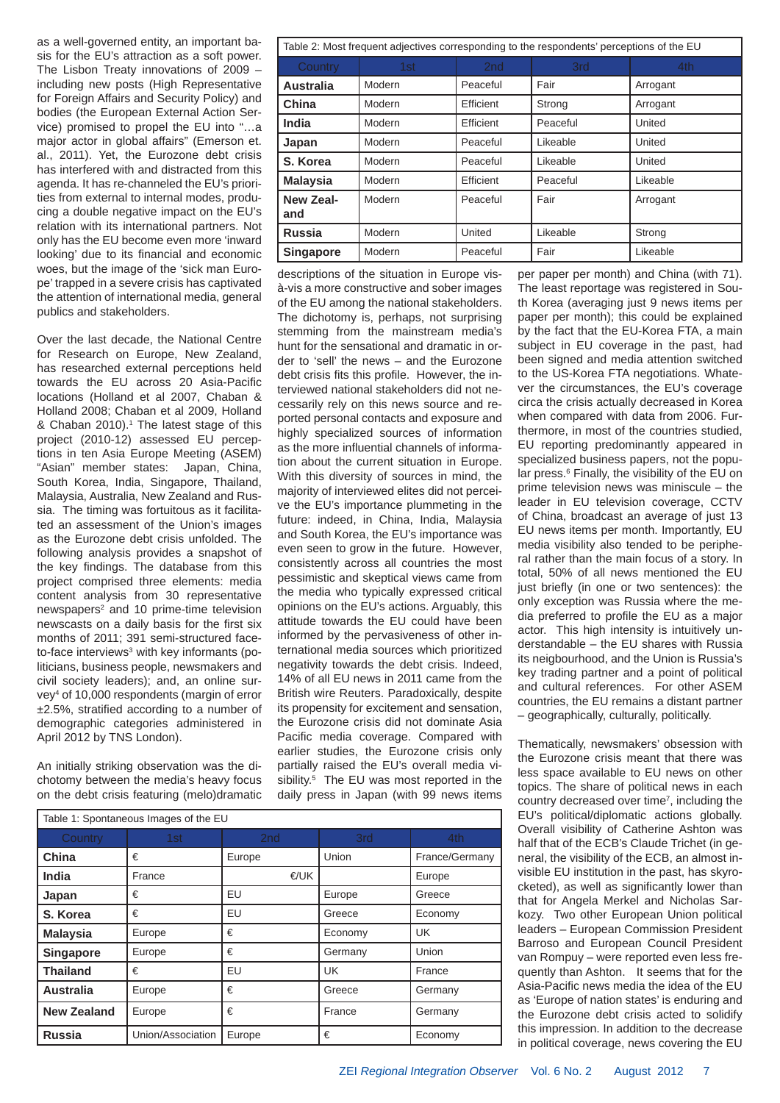as a well-governed entity, an important basis for the EU's attraction as a soft power. The Lisbon Treaty innovations of 2009 – including new posts (High Representative for Foreign Affairs and Security Policy) and bodies (the European External Action Service) promised to propel the EU into "…a major actor in global affairs" (Emerson et. al., 2011). Yet, the Eurozone debt crisis has interfered with and distracted from this agenda. It has re-channeled the EU's priorities from external to internal modes, producing a double negative impact on the EU's relation with its international partners. Not only has the EU become even more 'inward looking' due to its financial and economic woes, but the image of the 'sick man Europe' trapped in a severe crisis has captivated the attention of international media, general publics and stakeholders.

Over the last decade, the National Centre for Research on Europe, New Zealand, has researched external perceptions held towards the EU across 20 Asia-Pacific locations (Holland et al 2007, Chaban & Holland 2008; Chaban et al 2009, Holland & Chaban 2010).<sup>1</sup> The latest stage of this project (2010-12) assessed EU perceptions in ten Asia Europe Meeting (ASEM) "Asian" member states: Japan, China, South Korea, India, Singapore, Thailand, Malaysia, Australia, New Zealand and Russia. The timing was fortuitous as it facilitated an assessment of the Union's images as the Eurozone debt crisis unfolded. The following analysis provides a snapshot of the key findings. The database from this project comprised three elements: media content analysis from 30 representative newspapers<sup>2</sup> and 10 prime-time television newscasts on a daily basis for the first six months of 2011; 391 semi-structured faceto-face interviews<sup>3</sup> with key informants (politicians, business people, newsmakers and civil society leaders); and, an online survey4 of 10,000 respondents (margin of error  $±2.5%$ , stratified according to a number of demographic categories administered in April 2012 by TNS London).

An initially striking observation was the dichotomy between the media's heavy focus on the debt crisis featuring (melo)dramatic

| Table 2: Most frequent adjectives corresponding to the respondents' perceptions of the EU |        |                 |          |          |  |  |  |
|-------------------------------------------------------------------------------------------|--------|-----------------|----------|----------|--|--|--|
| Country                                                                                   | 1st    | 2 <sub>nd</sub> | 3rd      | 4th      |  |  |  |
| <b>Australia</b>                                                                          | Modern | Peaceful        | Fair     | Arrogant |  |  |  |
| China                                                                                     | Modern | Efficient       | Strong   | Arrogant |  |  |  |
| India                                                                                     | Modern | Efficient       | Peaceful | United   |  |  |  |
| Japan                                                                                     | Modern | Peaceful        | Likeable | United   |  |  |  |
| S. Korea                                                                                  | Modern | Peaceful        | Likeable | United   |  |  |  |
| <b>Malaysia</b>                                                                           | Modern | Efficient       | Peaceful | Likeable |  |  |  |
| New Zeal-<br>and                                                                          | Modern | Peaceful        | Fair     | Arrogant |  |  |  |
| <b>Russia</b>                                                                             | Modern | United          | Likeable | Strong   |  |  |  |
| <b>Singapore</b>                                                                          | Modern | Peaceful        | Fair     | Likeable |  |  |  |

descriptions of the situation in Europe visà-vis a more constructive and sober images of the EU among the national stakeholders. The dichotomy is, perhaps, not surprising stemming from the mainstream media's hunt for the sensational and dramatic in order to 'sell' the news – and the Eurozone debt crisis fits this profile. However, the interviewed national stakeholders did not necessarily rely on this news source and reported personal contacts and exposure and highly specialized sources of information as the more influential channels of information about the current situation in Europe. With this diversity of sources in mind, the majority of interviewed elites did not perceive the EU's importance plummeting in the future: indeed, in China, India, Malaysia and South Korea, the EU's importance was even seen to grow in the future. However, consistently across all countries the most pessimistic and skeptical views came from the media who typically expressed critical opinions on the EU's actions. Arguably, this attitude towards the EU could have been informed by the pervasiveness of other international media sources which prioritized negativity towards the debt crisis. Indeed, 14% of all EU news in 2011 came from the British wire Reuters. Paradoxically, despite its propensity for excitement and sensation, the Eurozone crisis did not dominate Asia Pacific media coverage. Compared with earlier studies, the Eurozone crisis only partially raised the EU's overall media visibility.<sup>5</sup> The EU was most reported in the daily press in Japan (with 99 news items

| Table 1: Spontaneous Images of the EU |                   |                 |         |                |  |  |  |
|---------------------------------------|-------------------|-----------------|---------|----------------|--|--|--|
| Country                               | 1st               | 2 <sub>nd</sub> | 3rd     | 4th            |  |  |  |
| China                                 | €                 | Europe          | Union   | France/Germany |  |  |  |
| India                                 | France            | €/UK            |         | Europe         |  |  |  |
| Japan                                 | €                 | EU              | Europe  | Greece         |  |  |  |
| S. Korea                              | €                 | EU              | Greece  | Economy        |  |  |  |
| <b>Malaysia</b>                       | Europe            | €               | Economy | UK             |  |  |  |
| <b>Singapore</b>                      | Europe            | €               | Germany | Union          |  |  |  |
| <b>Thailand</b>                       | €                 | EU              | UK      | France         |  |  |  |
| <b>Australia</b>                      | Europe            | €               | Greece  | Germany        |  |  |  |
| <b>New Zealand</b>                    | Europe            | €               | France  | Germany        |  |  |  |
| <b>Russia</b>                         | Union/Association | Europe          | €       | Economy        |  |  |  |

per paper per month) and China (with 71). The least reportage was registered in South Korea (averaging just 9 news items per paper per month); this could be explained by the fact that the EU-Korea FTA, a main subject in EU coverage in the past, had been signed and media attention switched to the US-Korea FTA negotiations. Whatever the circumstances, the EU's coverage circa the crisis actually decreased in Korea when compared with data from 2006. Furthermore, in most of the countries studied, EU reporting predominantly appeared in specialized business papers, not the popular press.<sup>6</sup> Finally, the visibility of the EU on prime television news was miniscule – the leader in EU television coverage, CCTV of China, broadcast an average of just 13 EU news items per month. Importantly, EU media visibility also tended to be peripheral rather than the main focus of a story. In total, 50% of all news mentioned the EU just briefly (in one or two sentences): the only exception was Russia where the media preferred to profile the EU as a major actor. This high intensity is intuitively understandable – the EU shares with Russia its neigbourhood, and the Union is Russia's key trading partner and a point of political and cultural references. For other ASEM countries, the EU remains a distant partner – geographically, culturally, politically.

Thematically, newsmakers' obsession with the Eurozone crisis meant that there was less space available to EU news on other topics. The share of political news in each country decreased over time<sup>7</sup>, including the EU's political/diplomatic actions globally. Overall visibility of Catherine Ashton was half that of the ECB's Claude Trichet (in general, the visibility of the ECB, an almost invisible EU institution in the past, has skyrocketed), as well as significantly lower than that for Angela Merkel and Nicholas Sarkozy. Two other European Union political leaders – European Commission President Barroso and European Council President van Rompuy – were reported even less frequently than Ashton. It seems that for the Asia-Pacific news media the idea of the EU as 'Europe of nation states' is enduring and the Eurozone debt crisis acted to solidify this impression. In addition to the decrease in political coverage, news covering the EU